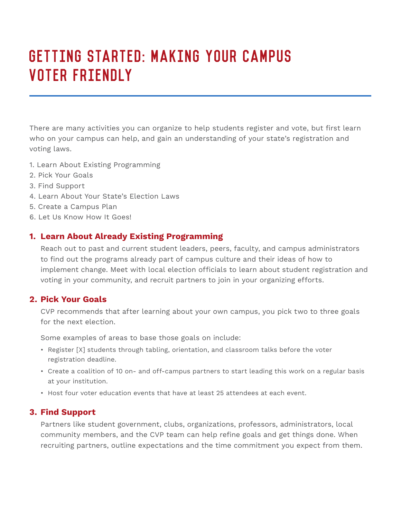# GETTING STARTED: MAKING YOUR CAMPUS VOTER FRIENDLY

There are many activities you can organize to help students register and vote, but first learn who on your campus can help, and gain an understanding of your state's registration and voting laws.

- 1. Learn About Existing Programming
- 2. Pick Your Goals
- 3. Find Support
- 4. Learn About Your State's Election Laws
- 5. Create a Campus Plan
- 6. Let Us Know How It Goes!

## **1. Learn About Already Existing Programming**

Reach out to past and current student leaders, peers, faculty, and campus administrators to find out the programs already part of campus culture and their ideas of how to implement change. Meet with local election officials to learn about student registration and voting in your community, and recruit partners to join in your organizing efforts.

## **2. Pick Your Goals**

CVP recommends that after learning about your own campus, you pick two to three goals for the next election.

Some examples of areas to base those goals on include:

- Register [X] students through tabling, orientation, and classroom talks before the voter registration deadline.
- Create a coalition of 10 on- and off-campus partners to start leading this work on a regular basis at your institution.
- Host four voter education events that have at least 25 attendees at each event.

## **3. Find Support**

Partners like student government, clubs, organizations, professors, administrators, local community members, and the CVP team can help refine goals and get things done. When recruiting partners, outline expectations and the time commitment you expect from them.